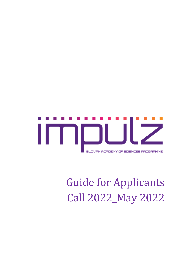

# Guide for Applicants Call 2022\_May 2022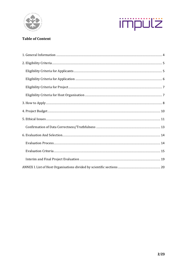



## **Table of Content**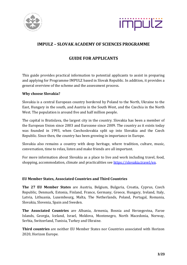



# **IMPULZ – SLOVAK ACADEMY OF SCIENCES PROGRAMME**

# **GUIDE FOR APPLICANTS**

This guide provides practical information to potential applicants to assist in preparing and applying for Programme IMPULZ based in Slovak Republic. In addition, it provides a general overview of the scheme and the assessment process.

#### **Why choose Slovakia?**

Slovakia is a central European country bordered by Poland to the North, Ukraine to the East, Hungary in the south, and Austria in the South West, and the Czechia in the North West. The population is around five and half million people.

The capital is Bratislava, the largest city in the country. Slovakia has been a member of the European Union since 2003 and Eurozone since 2009. The country as it exists today was founded in 1993, when Czechoslovakia split up into Slovakia and the Czech Republic. Since then, the country has been growing in importance in Europe.

Slovakia also remains a country with deep heritage, where tradition, culture, music, conversation, time to relax, listen and make friends are all important.

For more information about Slovakia as a place to live and work including travel, food, shopping, accommodation, climate and practicalities see [https://slovakia.travel/en.](https://slovakia.travel/en)

#### **EU Member States, Associated Countries and Third Countries**

**The 27 EU Member States** are Austria, Belgium, Bulgaria, Croatia, Cyprus, Czech Republic, Denmark, Estonia, Finland, France, Germany, Greece, Hungary, Ireland, Italy, Latvia, Lithuania, Luxembourg, Malta, The Netherlands, Poland, Portugal, Romania, Slovakia, Slovenia, Spain and Sweden.

**The Associated Countries** are Albania, Armenia, Bosnia and Herzegovina, Faroe Islands, Georgia, Iceland, Israel, Moldova, Montenegro, North Macedonia, Norway, Serbia, Switzerland, Tunisia, Turkey and Ukraine.

**Third countries** are neither EU Member States nor Countries associated with Horizon 2020, Horizon Europe.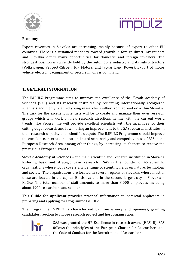



#### **Economy**

Export revenues in Slovakia are increasing, mainly because of export to other EU countries. There is a sustained tendency toward growth in foreign direct investments and Slovakia offers many opportunities for domestic and foreign investors. The strongest position is currently held by the automobile industry and its subcontractors (Volkswagen, Peugeot-Citroën, Kia Motors, and Jaguar Land Rover). Export of motor vehicle, electronic equipment or petroleum oils is dominant.

## <span id="page-3-0"></span>**1. GENERAL INFORMATION**

The IMPULZ Programme aims to improve the excellence of the Slovak Academy of Sciences (SAS) and its research institutes by recruiting internationally recognized scientists and highly talented young researchers either from abroad or within Slovakia. The task for the excellent scientists will be to create and manage their own research groups which will work on new research directions in line with the current world trends. The Programme will provide excellent scientists with the incentives for their cutting-edge research and it will bring an improvement to the SAS research institutes in their research capacity and scientific outputs. The IMPULZ Programme should improve the excellence, internationalization, interdisciplinarity and competitiveness of SAS in the European Research Area, among other things, by increasing its chances to receive the prestigious European grants.

**Slovak Academy of Sciences** – the main scientific and research institution in Slovakia fostering basic and strategic basic research. SAS is the founder of 45 scientific organisations whose focus covers a wide range of scientific fields on nature, technology and society. The organisations are located in several regions of Slovakia, where most of these are located in the capital Bratislava and in the second largest city in Slovakia – Košice. The total number of staff amounts to more than 3 000 employees including about 1900 researchers and scholars.

This **Guide for applicant** provides practical information to potential applicants in preparing and applying for Programme IMPULZ.

The Programme IMPULZ is characterized by transparency and openness, granting candidates freedom to choose research project and host organisation.



SAS was granted the HR Excellence in research award (HRS4R). SAS follows the principles of the European Charter for Researchers and the Code of Conduct for the Recruitment of Researchers.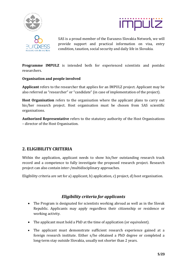





SAS is a proud member of the Euraxess Slovakia Network, we will provide support and practical information on visa, entry condition, taxation, social security and daily life in Slovakia.

**Programme IMPULZ** is intended both for experienced scientists and postdoc researchers.

#### **Organisation and people involved**

**Applicant** refers to the researcher that applies for an IMPULZ project. Applicant may be also referred as "researcher" or "candidate" (in case of implementation of the project).

**Host Organisation** refers to the organisation where the applicant plans to carry out his/her research project. Host organisation must be chosen from SAS scientific organisations.

**Authorized Representative** refers to the statutory authority of the Host Organisations – director of the Host Organisation.

# <span id="page-4-0"></span>**2. ELIGIBILITY CRITERIA**

Within the application, applicant needs to show his/her outstanding research track record and a competence to fully investigate the proposed research project. Research project can also contain inter-/multidisciplinary approaches.

Eligibility criteria are set for a) applicant, b) application, c) project, d) host organisation.

# *Eligibility criteria for applicants*

- <span id="page-4-1"></span>• The Program is designated for scientists working abroad as well as in the Slovak Republic. Applicants may apply regardless their citizenship or residence or working activity.
- The applicant must hold a PhD at the time of application (or equivalent).
- The applicant must demonstrate sufficient research experience gained at a foreign research institute. Either s/he obtained a PhD degree or completed a long-term stay outside Slovakia, usually not shorter than 2 years.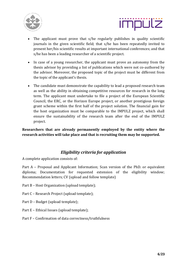



- The applicant must prove that s/he regularly publishes in quality scientific journals in the given scientific field; that s/he has been repeatedly invited to present her/his scientific results at important international conferences; and that s/he has been a leading researcher of a scientific project.
- In case of a young researcher, the applicant must prove an autonomy from the thesis advisor by providing a list of publications which were not co-authored by the advisor. Moreover, the proposed topic of the project must be different from the topic of the applicant's thesis.
- The candidate must demonstrate the capability to lead a proposed research team as well as the ability in obtaining competitive resources for research in the long term. The applicant must undertake to file a project of the European Scientific Council, the ERC, or the Horizon Europe project, or another prestigious foreign grant scheme within the first half of the project solution. The financial gain for the host organization must be comparable to the IMPULZ project, which shall ensure the sustainability of the research team after the end of the IMPULZ project.

**Researchers that are already permanently employed by the entity where the research activities will take place and that is recruiting them may be supported.**

# *Eligibility criteria for application*

<span id="page-5-0"></span>A complete application consists of:

Part A – Proposal and Applicant Information; Scan version of the PhD. or equivalent diploma; Documentation for requested extension of the eligibility window; Recommendation letters; CV (upload and follow template)

- Part B Host Organization (upload template);
- Part C Research Project (upload template);
- Part D Budget (upload template);
- Part E Ethical Issues (upload template);
- Part F Confirmation of data correctness/truthfulness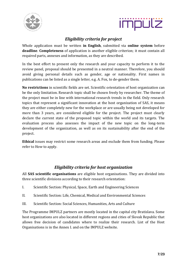



# *Eligibility criteria for project*

<span id="page-6-0"></span>Whole application must be written **in English**, submitted via **online system** before **deadline**. **Completeness** of application is another eligible criterion; it must contain all required parts, annexes and information, as they are described.

In the best effort to present only the research and your capacity to perform it to the review panel, proposal should be presented in a neutral manner. Therefore, you should avoid giving personal details such as gender, age or nationality. First names in publications can be listed as a single letter, e.g. A. Fox, to de-gender them.

**No restrictions** in scientific fields are set. Scientific orientation of host organization can be the only limitation. Research topic shall be chosen freely by researcher. The theme of the project must be in line with international research trends in the field. Only research topics that represent a significant innovation at the host organization of SAS, it means they are either completely new for the workplace or are usually being not developed for more than 3 years, are considered eligible for the project. The project must clearly declare the current state of the proposed topic within the world and its targets. The evaluation process also assesses the impact of the new topic on the long-term development of the organization, as well as on its sustainability after the end of the project.

**Ethical** issues may restrict some research areas and exclude them from funding. Please refer to How to apply.

# *Eligibility criteria for host organization*

<span id="page-6-1"></span>All **SAS scientific organisations** are eligible host organisations. They are divided into three scientific divisions according to their research orientation:

- I. Scientific Section: Physical, Space, Earth and Engineering Sciences
- II. Scientific Section: Life, Chemical, Medical and Environmental Sciences
- III. Scientific Section: Social Sciences, Humanities, Arts and Culture

The Programme IMPULZ partners are mostly located in the capital city Bratislava. Some host organizations are also located in different regions and cities of Slovak Republic that allows free decision of candidates where to realize their research. List of the Host Organisations is in the Annex I. and on the IMPULZ website.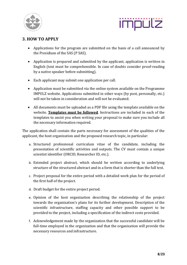



# <span id="page-7-0"></span>**3. HOW TO APPLY**

- Applications for the program are submitted on the basis of a call announced by the Presidium of the SAS (P SAS).
- Application is prepared and submitted by the applicant, application is written in English (text must be comprehensible. In case of doubts consider proof-reading by a native speaker before submitting).
- Each applicant may submit one application per call.
- Application must be submitted via the online system available on the Programme IMPULZ website. Applications submitted in other ways (by post, personally, etc.) will not be taken in consideration and will not be evaluated.
- All documents must be uploaded as a PDF file using the template available on the website. **Templates must be followed**. Instructions are included in each of the templates to assist you when writing your proposal to make sure you include all the necessary information required.

The application shall contain the parts necessary for assessment of the qualities of the applicant, the host organization and the proposed research topic, in particular:

- a. Structured professional curriculum vitae of the candidate, including the presentation of scientific activities and outputs. The CV must contain a unique scientist identifier (ORCID, Researcher ID, etc.).
- b. Extended project abstract, which should be written according to underlying structure of the structured abstract and in a form that is shorter than the full text.
- c. Project proposal for the entire period with a detailed work plan for the period of the first half of the project.
- d. Draft budget for the entire project period.
- e. Opinion of the host organization describing the relationship of the project towards the organization's plans for its further development. Description of the scientific infrastructure, staffing capacity and other possible support to be provided to the project, including a specification of the indirect costs provided.
- f. Acknowledgement made by the organization that the successful candidate will be full-time employed in the organization and that the organization will provide the necessary resources and infrastructure.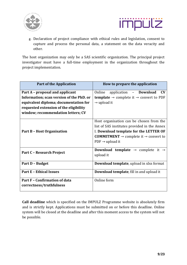



g. Declaration of project compliance with ethical rules and legislation, consent to capture and process the personal data, a statement on the data veracity and other.

The host organization may only be a SAS scientific organization. The principal project investigator must have a full-time employment in the organization throughout the project implementation.

| <b>Part of the Application</b>                                                                                                                                                                       | How to prepare the application                                                                                                                                                                                                            |
|------------------------------------------------------------------------------------------------------------------------------------------------------------------------------------------------------|-------------------------------------------------------------------------------------------------------------------------------------------------------------------------------------------------------------------------------------------|
| Part A - proposal and applicant<br>Information; scan version of the PhD. or<br>equivalent diploma; documentation for<br>requested extension of the eligibility<br>window; recommendation letters; CV | CV<br>Online<br>application<br>– Download<br><b>template</b> $\rightarrow$ complete it $\rightarrow$ convert to PDF<br>$\rightarrow$ upload it                                                                                            |
| Part B - Host Organisation                                                                                                                                                                           | Host organisation can be chosen from the<br>list of SAS institutes provided in the Annex<br>I. Download template for the LETTER OF<br><b>COMMITMENT</b> $\rightarrow$ complete it $\rightarrow$ convert to<br>$PDF \rightarrow upload$ it |
| Part C - Research Project                                                                                                                                                                            | <b>Download template</b> $\rightarrow$ complete it $\rightarrow$<br>upload it                                                                                                                                                             |
| Part D - Budget                                                                                                                                                                                      | <b>Download template</b> , upload in xlxs format                                                                                                                                                                                          |
| <b>Part E - Ethical Issues</b>                                                                                                                                                                       | <b>Download template</b> , fill in and upload it                                                                                                                                                                                          |
| <b>Part F - Confirmation of data</b><br>correctness/truthfulness                                                                                                                                     | Online form                                                                                                                                                                                                                               |

**Call deadline** which is specified on the IMPULZ Programme website is absolutely firm and is strictly kept. Applications must be submitted on or before this deadline. Online system will be closed at the deadline and after this moment access to the system will not be possible.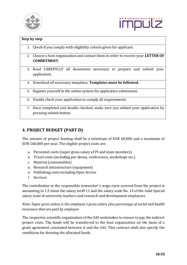



|    | Step by step                                                                                              |
|----|-----------------------------------------------------------------------------------------------------------|
|    | 1. Check if you comply with eligibility criteria given for applicant.                                     |
| 2. | Choose a host organization and contact them in order to receive your LETTER OF<br><b>COMMITMENT.</b>      |
| 3. | Read CAREFULLY all documents necessary to prepare and submit your<br>application.                         |
|    | 4. Download all necessary templates. Templates must be followed.                                          |
| 5. | Register yourself to the online system for application submission.                                        |
| 6. | Double check your application to comply all requirements.                                                 |
|    | 7. Once completed and double checked, make sure you submit your application by<br>pressing submit button. |

# <span id="page-9-0"></span>**4. PROJECT BUDGET (PART D)**

The amount of project funding shall be a minimum of EUR 60,000 and a maximum of EUR 160,000 per year. The eligible project costs are:

- a. Personnel costs (super gross salary of PI and team members)
- b. Travel costs (including per diems, conferences, workshops etc.)
- c. Material (consumables)
- d. Research infrastructure (equipment)
- e. Publishing costs including Open Access
- f. Services

The contribution to the responsible researcher´s wage costs covered from the project is amounting to 1.5 times the salary tariff 11 and the salary scale No. 14 of the valid Special salary scale of university teachers and research and development employees.

*Note: Super gross salary is the employee´s gross salary plus percentage of social and health insurance that are paid by employer.*

The respective scientific organization of the SAS undertakes to ensure to pay the indirect project costs. The funds will be transferred to the host organization on the basis of a grant agreement concluded between it and the SAS. This contract shall also specify the conditions for drawing the allocated funds.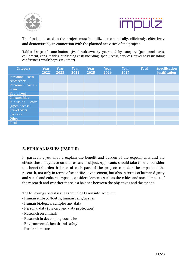



The funds allocated to the project must be utilized economically, efficiently, effectively and demonstrably in connection with the planned activities of the project.

**Table:** Usage of contribution, give breakdown by year and by category (personnel costs, equipment, consumables, publishing costs including Open Access, services, travel costs including conferences, workshops, etc., other).

| <b>Category</b>     | <b>Year</b> | <b>Year</b> | <b>Year</b> | <b>Year</b> | <b>Year</b> | <b>Year</b> | <b>Total</b> | <b>Specification</b> |
|---------------------|-------------|-------------|-------------|-------------|-------------|-------------|--------------|----------------------|
|                     | 2022        | 2023        | 2024        | 2025        | 2026        | 2027        |              | justification        |
| Personnel costs -   |             |             |             |             |             |             |              |                      |
| researcher          |             |             |             |             |             |             |              |                      |
| Personnel costs -   |             |             |             |             |             |             |              |                      |
| team                |             |             |             |             |             |             |              |                      |
| Equipment           |             |             |             |             |             |             |              |                      |
| Consumables         |             |             |             |             |             |             |              |                      |
| Publishing<br>costs |             |             |             |             |             |             |              |                      |
| (Open Access)       |             |             |             |             |             |             |              |                      |
| Travel costs        |             |             |             |             |             |             |              |                      |
| Services            |             |             |             |             |             |             |              |                      |
| Other               |             |             |             |             |             |             |              |                      |
| Total               |             |             |             |             |             |             |              |                      |

# <span id="page-10-0"></span>**5. ETHICAL ISSUES (PART E)**

In particular, you should explain the benefit and burden of the experiments and the effects these may have on the research subject. Applicants should take time to consider the benefit/burden balance of each part of the project; consider the impact of the research, not only in terms of scientific advancement, but also in terms of human dignity and social and cultural impact; consider elements such as the ethics and social impact of the research and whether there is a balance between the objectives and the means.

The following special issues should be taken into account:

- Human embryo/foetus, human cells/tissues
- Human biological samples and data
- Personal data (privacy and data protection)
- Research on animals
- Research in developing countries
- Environmental, health and safety
- Dual and misuse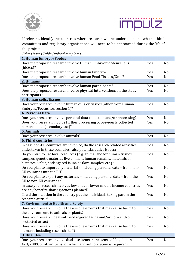



If relevant, identify the countries where research will be undertaken and which ethical committees and regulatory organisations will need to be approached during the life of the project.

*Ethics Issues Table (upload template)*

| 1. Human Embryo/Foetus                                                    |     |                |
|---------------------------------------------------------------------------|-----|----------------|
| Does the proposed research involve Human Embryonic Stems Cells            | Yes | N <sub>o</sub> |
| $(hESCs)$ ?                                                               |     |                |
| Does the proposed research involve human Embryo?                          | Yes | No             |
| Does the proposed research involve human Fetal Tissues/Cells?             | Yes | N <sub>o</sub> |
| 2. Humans                                                                 |     |                |
| Does the proposed research involve human participants?                    | Yes | N <sub>o</sub> |
| Does the proposed research involve physical interventions on the study    | Yes | N <sub>o</sub> |
| participants?                                                             |     |                |
| 3. Human cells/tissues                                                    |     |                |
| Does your research involve human cells or tissues (other from Human       | Yes | N <sub>o</sub> |
| Embryos/Foetus, i.e. section 1)?                                          |     |                |
| <b>4. Personal Data</b>                                                   |     |                |
| Does your research involve personal data collection and/or processing?    | Yes | No             |
| Does your research involve further processing of previously collected     | Yes | N <sub>o</sub> |
| personal data (secondary use)?                                            |     |                |
| <b>5. Animals</b>                                                         |     |                |
| Does your research involve animals?                                       | Yes | No             |
| <b>6. Third countries</b>                                                 |     |                |
| In case non-EU countries are involved, do the research related activities | Yes | N <sub>o</sub> |
| undertaken in these countries raise potential ethics issues?              |     |                |
| Do you plan to use local resources (e.g. animal and/or human tissues      | Yes | N <sub>o</sub> |
| samples, genetic material, live animals, human remains, materials of      |     |                |
| historical value, endangered fauna or flora samples, etc.)?               |     |                |
| Do you plan to import any material - including personal data - from non-  | Yes | N <sub>o</sub> |
| EU countries into the EU?                                                 |     |                |
| Do you plan to export any materials - including personal data - from the  | Yes | N <sub>o</sub> |
| EU to non-EU countries?                                                   |     |                |
| In case your research involves low and/or lower middle income countries   | Yes | N <sub>o</sub> |
| are any benefits-sharing actions planned?                                 |     |                |
| Could the situation in the country put the individuals taking part in the | Yes | No             |
| research at risk?                                                         |     |                |
| 7. Environment & Health and Safety                                        |     |                |
| Does your research involve the use of elements that may cause harm to     | Yes | No             |
| the environment, to animals or plants?                                    |     |                |
| Does your research deal with endangered fauna and/or flora and/or         | Yes | No             |
| protected areas?                                                          |     |                |
| Does your research involve the use of elements that may cause harm to     | Yes | No             |
| humans, including research staff?                                         |     |                |
| 8. Dual Use                                                               |     |                |
| Does your research involve dual-use items in the sense of Regulation      | Yes | No             |
| 428/2009, or other items for which and authorization is required?         |     |                |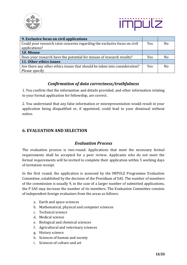



| 9. Exclusive focus on civil applications                                   |            |                |
|----------------------------------------------------------------------------|------------|----------------|
| Could your research raise concerns regarding the exclusive focus on civil  | <b>Yes</b> | Nο             |
| applications?                                                              |            |                |
| 10. Misuse                                                                 |            |                |
| Does your research have the potential for misuse of research results?      | <b>Yes</b> | N <sub>0</sub> |
| 11. Other ethics issues                                                    |            |                |
| Are there any other ethics issues that should be taken into consideration? | <b>Yes</b> | Nο             |
| Please specify                                                             |            |                |

# *Confirmation of data correctness/truthfulness*

<span id="page-12-0"></span>1. You confirm that the information and details provided, and other information relating to your formal application for fellowship, are correct.

2. You understand that any false information or misrepresentation would result in your application being disqualified or, if appointed, could lead to your dismissal without notice.

# <span id="page-12-2"></span><span id="page-12-1"></span>**6. EVALUATION AND SELECTION**

## *Evaluation Process*

The evaluation process is two-round. Applications that meet the necessary formal requirements shall be accepted for a peer review. Applicants who do not meet the formal requirements will be invited to complete their application within 5 working days of invitation receipt.

In the first round, the application is assessed by the IMPULZ Programme Evaluation Committee, established by the decision of the Presidium of SAS. The number of members of the commission is usually 9, in the case of a larger number of submitted applications, the P SAS may increase the number of its members. The Evaluation Committee consists of independent foreign evaluators from the areas as follows:

- a. Earth and space sciences
- b. Mathematical, physical and computer sciences
- c. Technical science
- d. Medical science
- e. Biological and chemical sciences
- f. Agricultural and veterinary sciences
- g. History science
- h. Sciences of human and society
- i. Sciences of culture and art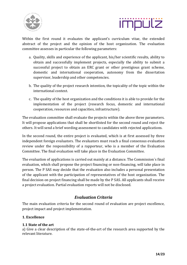



Within the first round it evaluates the applicant's curriculum vitae, the extended abstract of the project and the opinion of the host organization. The evaluation committee assesses in particular the following parameters:

- a. Quality, skills and experience of the applicant, his/her scientific results, ability to obtain and successfully implement projects, especially the ability to submit a successful project to obtain an ERC grant or other prestigious grant scheme, domestic and international cooperation, autonomy from the dissertation supervisor, leadership and other competencies.
- b. The quality of the project research intention, the topicality of the topic within the international context.
- c. The quality of the host organization and the conditions it is able to provide for the implementation of the project (research focus, domestic and international cooperation, resources and capacities, infrastructure).

The evaluation committee shall evaluate the projects within the above three parameters. It will propose applications that shall be shortlisted for the second round and reject the others. It will send a brief wording assessment to candidates with rejected applications.

In the second round, the entire project is evaluated, which is at first assessed by three independent foreign evaluators. The evaluators must reach a final consensus evaluation review under the responsibility of a rapporteur, who is a member of the Evaluation Committee. The final evaluation will take place in the Evaluation Committee.

The evaluation of applications is carried out mainly at a distance. The Commission´s final evaluation, which shall propose the project financing or non-financing, will take place in person. The P SAS may decide that the evaluation also includes a personal presentation of the applicant with the participation of representatives of the host organization. The final decision on project financing shall be made by the P SAS. All applicants shall receive a project evaluation. Partial evaluation reports will not be disclosed.

# *Evaluation Criteria*

<span id="page-13-0"></span>The main evaluation criteria for the second round of evaluation are project excellence, project impact and project implementation.

#### **1. Excellence**

#### **1.1 State of the art**

a) Give a clear description of the state-of-the-art of the research area supported by the relevant literature.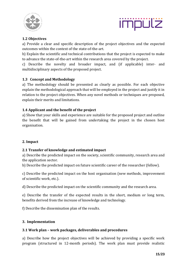



### **1.2 Objectives**

a) Provide a clear and specific description of the project objectives and the expected outcomes within the context of the state-of-the-art.

b) Explain the scientific and technical contributions that the project is expected to make to advance the state-of-the-art within the research area covered by the project.

c) Describe the novelty and broader impact, and (if applicable) inter- and multidisciplinary aspects of the proposed project.

## **1.3 Concept and Methodology**

a) The methodology should be presented as clearly as possible. For each objective explain the methodological approach that will be employed in the project and justify it in relation to the project objectives. When any novel methods or techniques are proposed, explain their merits and limitations.

#### **1.4 Applicant and the benefit of the project**

a) Show that your skills and experience are suitable for the proposed project and outline the benefit that will be gained from undertaking the project in the chosen host organisation.

#### **2. Impact**

#### **2.1 Transfer of knowledge and estimated impact**

a) Describe the predicted impact on the society, scientific community, research area and the application sector.

b) Describe the predicted impact on future scientific career of the researcher (fellow).

c) Describe the predicted impact on the host organisation (new methods, improvement of scientific work, etc.).

d) Describe the predicted impact on the scientific community and the research area.

e) Describe the transfer of the expected results in the short, medium or long term, benefits derived from the increase of knowledge and technology.

f) Describe the dissemination plan of the results.

#### **3. Implementation**

#### **3.1 Work plan – work packages, deliverables and procedures**

a) Describe how the project objectives will be achieved by providing a specific work program (structured in 12-month periods). The work plan must provide realistic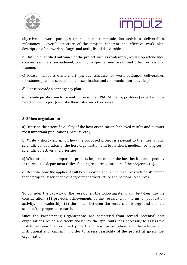



objectives – work packages (management, communication activities, deliverables, milestones – overall structure of the project, coherent and effective work plan, description of the work packages and tasks, list of deliverables.

b) Outline quantified outcomes of the project such as conference/workshop attendance, courses, seminars, secondment, training in specific new areas, and other professional training.

c) Please include a Gantt chart (include schedule for work packages, deliverables, milestones, planned secondment, dissemination and communication activities).

d) Please provide a contingency plan.

e) Provide justification for scientific personnel (PhD. Students, postdocs) expected to be hired on the project (describe their roles and objectives).

#### **3. 2 Host organisation**

a) Describe the scientific quality of the host organisation (achieved results and outputs, most important publications, patents, etc.).

b) Write a short description how the proposed project is relevant to the international scientific collaboration of the host organisation and to its short, medium- or long-term scientific objectives and priorities.

c) What are the most important projects implemented in the host institution, especially in the selected department (titles, funding resources, duration of the projects, etc.).

d) Describe how the applicant will be supported and which resources will be attributed to the project. Describe the quality of the infrastructure and personal resources.

To consider the capacity of the researcher, the following items will be taken into the consideration: (1) previous achievements of the researcher, in terms of publication activity, and leadership; (2) the match between the researcher background and the scope of the proposed research.

Since the Participating Organizations are comprised from several potential host organizations which are freely chosen by the applicants it is necessary to assess the match between the proposed project and host organization and the adequacy of institutional environment in order to assess feasibility of the project at given host organization.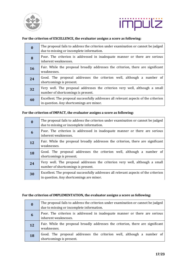



#### **For the criterion of EXCELLENCE, the evaluator assigns a score as following:**

| 0         | The proposal fails to address the criterion under examination or cannot be judged<br>due to missing or incomplete information.   |
|-----------|----------------------------------------------------------------------------------------------------------------------------------|
| 8         | Poor. The criterion is addressed in inadequate manner or there are serious<br>inherent weaknesses.                               |
| <b>16</b> | Fair. While the proposal broadly addresses the criterion, there are significant<br>weaknesses.                                   |
| 24        | Good. The proposal addresses the criterion well, although a number of<br>shortcomings is present.                                |
| 32        | Very well. The proposal addresses the criterion very well, although a small<br>number of shortcomings is present.                |
| 40        | Excellent. The proposal successfully addresses all relevant aspects of the criterion<br>in question. Any shortcomings are minor. |

#### **For the criterion of IMPACT, the evaluator assigns a score as following:**

| $\boldsymbol{0}$ | The proposal fails to address the criterion under examination or cannot be judged<br>due to missing or incomplete information.   |
|------------------|----------------------------------------------------------------------------------------------------------------------------------|
| 6                | Poor. The criterion is addressed in inadequate manner or there are serious<br>inherent weaknesses.                               |
| 12               | Fair. While the proposal broadly addresses the criterion, there are significant<br>weaknesses.                                   |
| <b>18</b>        | Good. The proposal addresses the criterion well, although a number of<br>shortcomings is present.                                |
| 24               | Very well. The proposal addresses the criterion very well, although a small<br>number of shortcomings is present.                |
| 30               | Excellent. The proposal successfully addresses all relevant aspects of the criterion<br>in question. Any shortcomings are minor. |

#### **For the criterion of IMPLEMENTATION, the evaluator assigns a score as following:**

| $\boldsymbol{0}$ | The proposal fails to address the criterion under examination or cannot be judged<br>due to missing or incomplete information. |
|------------------|--------------------------------------------------------------------------------------------------------------------------------|
| 6                | Poor. The criterion is addressed in inadequate manner or there are serious<br>inherent weaknesses.                             |
| <b>12</b>        | Fair. While the proposal broadly addresses the criterion, there are significant<br>weaknesses.                                 |
| <b>18</b>        | Good. The proposal addresses the criterion well, although a number of<br>shortcomings is present.                              |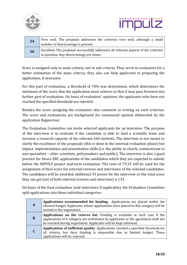



| 24 | Very well. The proposal addresses the criterion very well, although a small<br>number of shortcomings is present.                |
|----|----------------------------------------------------------------------------------------------------------------------------------|
| 30 | Excellent. The proposal successfully addresses all relevant aspects of the criterion<br>in question. Any shortcomings are minor. |

Score is assigned only to main criteria, not to sub-criteria. They serve to evaluators for a better estimation of the main criteria; they also can help applicants in preparing the application, if necessary.

For this part of evaluation, a threshold of 70% was determined, which determines the minimum of the score that the application must achieve so that it may pass forward into further part of evaluation. On basis of evaluators' opinions, the applicants who have not reached the specified threshold are rejected.

Besides the score assigning the evaluators also comment in writing on each criterion. The score and evaluations are background for consensual opinion elaborated by the application Rapporteur.

The Evaluation Committee can invite selected applicants for an interview. The purpose of the interview is to evaluate if the candidate is able to lead a scientific team and increase a research capacity of the relevant SAS institute. The interview is not meant to clarify the excellence of the proposals (this is done in the external evaluation phase) but impact, implementation and presentation skills (i.e. the ability to clearly communicate to non-specialists – other scientists, policymakers and public). The interview is also a good practice for future ERC applications of the candidates which they are expected to submit before the IMPULZ project mid-term evaluation. The ratio of 75:25 will be used for the assignment of final score for external reviews and interviews of the selected candidates. The candidates will be awarded additional 33 points for the interview so the total score they can get (out of both external reviews and interview) is 133.

On basis of the final evaluation (and interviews if applicable), the Evaluation Committee split applications into these individual categories:

| A | <b>Applications recommended for funding.</b> Applications are placed within the<br>allowed budget. Applicants whose applications were placed in this category will be<br>invited to the negotiation.                                |
|---|-------------------------------------------------------------------------------------------------------------------------------------------------------------------------------------------------------------------------------------|
| B | Applications on the reserve list. Funding is available in such case if the<br>applications of A category are withdrawn by applicants or the agreement shall not<br>be reached during negotiation. Applicants will be kept informed. |
|   | <b>Applications of sufficient quality.</b> Applications reached a specified threshold for<br>all criteria, but their funding is impossible due to limited budget. These<br>applications will be rejected.                           |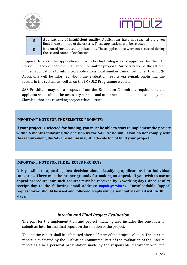



| D | Applications of insufficient quality. Applications have not reached the given<br>limit in one or more of the criteria. These applications will be rejected. |
|---|-------------------------------------------------------------------------------------------------------------------------------------------------------------|
|   | Not rated/evaluated applications. These applications were not assessed during<br>the second round of evaluation.                                            |

Proposal to class the applications into individual categories is approved by the SAS Presidium according to the Evaluation Committee proposal. Success ratio, i.e. the ratio of funded applications to submitted applications total number cannot be higher than 50%. Applicants will be informed about the evaluation results via e-mail, publishing the results in the system, as well as on the IMPULZ Programme website.

SAS Presidium may, on a proposal from the Evaluation Committee, require that the applicant shall submit the necessary permits and other needed documents issued by the Slovak authorities regarding project ethical issues.

#### **IMPORTANT NOTE FOR THE SELECTED PROJECTS:**

**If your project is selected for funding, you must be able to start to implement the project within 6 months following the decision by the SAS Presidium. If you do not comply with this requirement, the SAS Presidium may still decide to not fund your project.**

#### **IMPORTANT NOTE FOR THE REIECTED PROJECTS:**

**It is possible to appeal against decision about classifying applications into individual categories. There must be proper grounds for making an appeal. If you wish to use an appeal procedure, any such request must be received by 3 working days since results' receipt day to the following email address: [impulz@savba.sk](mailto:impulz@savba.sk) Downloadable "appeal request form" should be used and followed. Reply will be sent out via email within 30 days.**

## *Interim and Final Project Evaluation*

<span id="page-18-0"></span>The part for the implementation and project financing also includes the condition to submit an interim and final report on the solution of the project.

The interim report shall be submitted after half term of the project solution. The interim report is evaluated by the Evaluation Committee. Part of the evaluation of the interim report is also a personal presentation made by the responsible researcher with the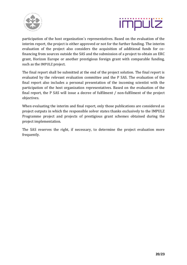



participation of the host organization´s representatives. Based on the evaluation of the interim report, the project is either approved or not for the further funding. The interim evaluation of the project also considers the acquisition of additional funds for cofinancing from sources outside the SAS and the submission of a project to obtain an ERC grant, Horizon Europe or another prestigious foreign grant with comparable funding, such as the IMPULZ project.

The final report shall be submitted at the end of the project solution. The final report is evaluated by the relevant evaluation committee and the P SAS. The evaluation of the final report also includes a personal presentation of the incoming scientist with the participation of the host organization representatives. Based on the evaluation of the final report, the P SAS will issue a decree of fulfilment / non-fulfilment of the project objectives.

When evaluating the interim and final report, only those publications are considered as project outputs in which the responsible solver states thanks exclusively to the IMPULZ Programme project and projects of prestigious grant schemes obtained during the project implementation.

The SAS reserves the right, if necessary, to determine the project evaluation more frequently.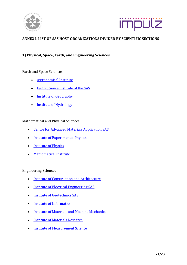



#### <span id="page-20-0"></span>**ANNEX I. LIST OF SAS HOST ORGANIZATIONS DIVIDED BY SCIENTIFIC SECTIONS**

#### **1) Physical, Space, Earth, and Engineering Sciences**

#### Earth and Space Sciences

- [Astronomical Institute](https://www.astro.sk/)
- [Earth Science Institute of the SAS](http://www.geo.sav.sk/en/)
- Institute of Geography
- [Institute of Hydrology](http://www.uh.sav.sk/en-gb/)

#### Mathematical and Physical Sciences

- [Centre for Advanced Materials Application SAS](http://www.cemea.sav.sk/en/)
- [Institute of Experimental Physics](https://websrv.saske.sk/uef/en/)
- [Institute of Physics](https://www.fu.sav.sk/index.php?id=home&L=1)
- [Mathematical Institute](http://www.mat.savba.sk/index-e.html)

#### Engineering Sciences

- [Institute of Construction and Architecture](http://www.ustarch.sav.sk/)
- [Institute of Electrical Engineering SAS](http://www.elu.sav.sk/en/)
- [Institute of Geotechnics SAS](https://ugt.saske.sk/en/)
- [Institute of Informatics](https://www.ui.sav.sk/w/en/)
- [Institute of Materials and Machine Mechanics](http://www.umms.sav.sk/en/)
- [Institute of Materials Research](https://websrv.saske.sk/imr/en)
- [Institute of Measurement Science](https://www.um.sav.sk/en/)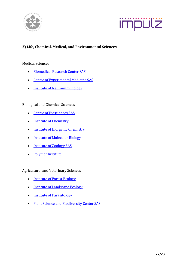



## **2) Life, Chemical, Medical, and Environmental Sciences**

#### Medical Sciences

- [Biomedical Research Center SAS](http://www.biomedcentrum.sav.sk/?lang=en)
- [Centre of Experimental Medicine SAS](http://cem.sav.sk/index.php/en/cem)
- [Institute of Neuroimmunology](http://www.niu.sav.sk/)

#### Biological and Chemical Sciences

- [Centre of Biosciences SAS](http://www.cbv.sav.sk/en/)
- Institute of Chemistry
- [Institute of Inorganic Chemistry](http://www.uach.sav.sk/)
- [Institute of Molecular Biology](http://www.imb.savba.sk/index.php?lang=en&id=about)
- Institute of Zoology SAS
- [Polymer Institute](https://polymer.sav.sk/home/)

Agricultural and Veterinary Sciences

- [Institute of Forest Ecology](https://www.ife.sk/)
- Institute of Landscape Ecology
- [Institute of Parasitology](https://pau.saske.sk/)
- [Plant Science and Biodiversity Center SAS](https://cbrb.sav.sk/en/)